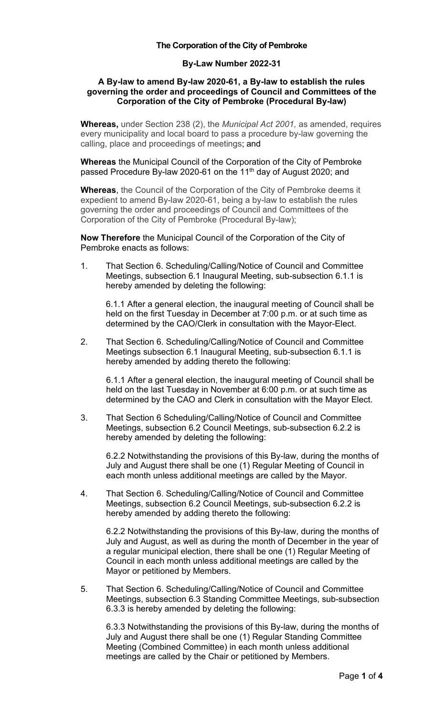#### **The Corporation of the City of Pembroke**

## **By-Law Number 2022-31**

#### **A By-law to amend By-law 2020-61, a By-law to establish the rules governing the order and proceedings of Council and Committees of the Corporation of the City of Pembroke (Procedural By-law)**

**Whereas,** under Section 238 (2), the *Municipal Act 2001,* as amended, requires every municipality and local board to pass a procedure by-law governing the calling, place and proceedings of meetings; and

**Whereas** the Municipal Council of the Corporation of the City of Pembroke passed Procedure By-law 2020-61 on the 11<sup>th</sup> day of August 2020; and

**Whereas**, the Council of the Corporation of the City of Pembroke deems it expedient to amend By-law 2020-61, being a by-law to establish the rules governing the order and proceedings of Council and Committees of the Corporation of the City of Pembroke (Procedural By-law);

**Now Therefore** the Municipal Council of the Corporation of the City of Pembroke enacts as follows:

1. That Section 6. Scheduling/Calling/Notice of Council and Committee Meetings, subsection 6.1 Inaugural Meeting, sub-subsection 6.1.1 is hereby amended by deleting the following:

6.1.1 After a general election, the inaugural meeting of Council shall be held on the first Tuesday in December at 7:00 p.m. or at such time as determined by the CAO/Clerk in consultation with the Mayor-Elect.

2. That Section 6. Scheduling/Calling/Notice of Council and Committee Meetings subsection 6.1 Inaugural Meeting, sub-subsection 6.1.1 is hereby amended by adding thereto the following:

6.1.1 After a general election, the inaugural meeting of Council shall be held on the last Tuesday in November at 6:00 p.m. or at such time as determined by the CAO and Clerk in consultation with the Mayor Elect.

3. That Section 6 Scheduling/Calling/Notice of Council and Committee Meetings, subsection 6.2 Council Meetings, sub-subsection 6.2.2 is hereby amended by deleting the following:

6.2.2 Notwithstanding the provisions of this By-law, during the months of July and August there shall be one (1) Regular Meeting of Council in each month unless additional meetings are called by the Mayor.

4. That Section 6. Scheduling/Calling/Notice of Council and Committee Meetings, subsection 6.2 Council Meetings, sub-subsection 6.2.2 is hereby amended by adding thereto the following:

6.2.2 Notwithstanding the provisions of this By-law, during the months of July and August, as well as during the month of December in the year of a regular municipal election, there shall be one (1) Regular Meeting of Council in each month unless additional meetings are called by the Mayor or petitioned by Members.

5. That Section 6. Scheduling/Calling/Notice of Council and Committee Meetings, subsection 6.3 Standing Committee Meetings, sub-subsection 6.3.3 is hereby amended by deleting the following:

6.3.3 Notwithstanding the provisions of this By-law, during the months of July and August there shall be one (1) Regular Standing Committee Meeting (Combined Committee) in each month unless additional meetings are called by the Chair or petitioned by Members.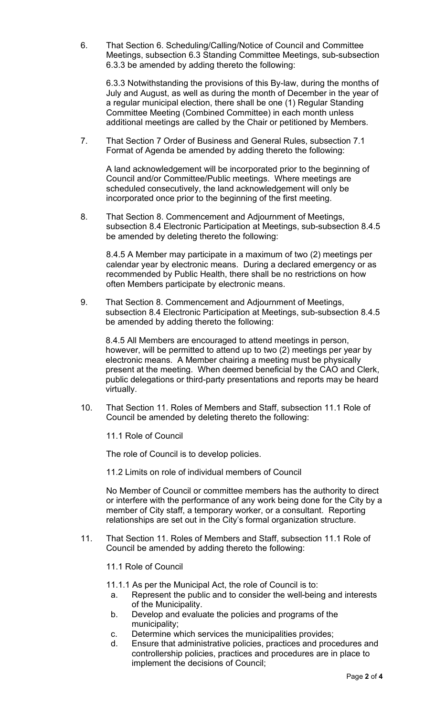6. That Section 6. Scheduling/Calling/Notice of Council and Committee Meetings, subsection 6.3 Standing Committee Meetings, sub-subsection 6.3.3 be amended by adding thereto the following:

6.3.3 Notwithstanding the provisions of this By-law, during the months of July and August, as well as during the month of December in the year of a regular municipal election, there shall be one (1) Regular Standing Committee Meeting (Combined Committee) in each month unless additional meetings are called by the Chair or petitioned by Members.

7. That Section 7 Order of Business and General Rules, subsection 7.1 Format of Agenda be amended by adding thereto the following:

A land acknowledgement will be incorporated prior to the beginning of Council and/or Committee/Public meetings. Where meetings are scheduled consecutively, the land acknowledgement will only be incorporated once prior to the beginning of the first meeting.

8. That Section 8. Commencement and Adjournment of Meetings, subsection 8.4 Electronic Participation at Meetings, sub-subsection 8.4.5 be amended by deleting thereto the following:

8.4.5 A Member may participate in a maximum of two (2) meetings per calendar year by electronic means. During a declared emergency or as recommended by Public Health, there shall be no restrictions on how often Members participate by electronic means.

9. That Section 8. Commencement and Adjournment of Meetings, subsection 8.4 Electronic Participation at Meetings, sub-subsection 8.4.5 be amended by adding thereto the following:

8.4.5 All Members are encouraged to attend meetings in person, however, will be permitted to attend up to two (2) meetings per year by electronic means. A Member chairing a meeting must be physically present at the meeting. When deemed beneficial by the CAO and Clerk, public delegations or third-party presentations and reports may be heard virtually.

10. That Section 11. Roles of Members and Staff, subsection 11.1 Role of Council be amended by deleting thereto the following:

11.1 Role of Council

The role of Council is to develop policies.

11.2 Limits on role of individual members of Council

No Member of Council or committee members has the authority to direct or interfere with the performance of any work being done for the City by a member of City staff, a temporary worker, or a consultant. Reporting relationships are set out in the City's formal organization structure.

11. That Section 11. Roles of Members and Staff, subsection 11.1 Role of Council be amended by adding thereto the following:

11.1 Role of Council

- 11.1.1 As per the Municipal Act, the role of Council is to:
- a. Represent the public and to consider the well-being and interests of the Municipality.
- b. Develop and evaluate the policies and programs of the municipality;
- c. Determine which services the municipalities provides;
- d. Ensure that administrative policies, practices and procedures and controllership policies, practices and procedures are in place to implement the decisions of Council;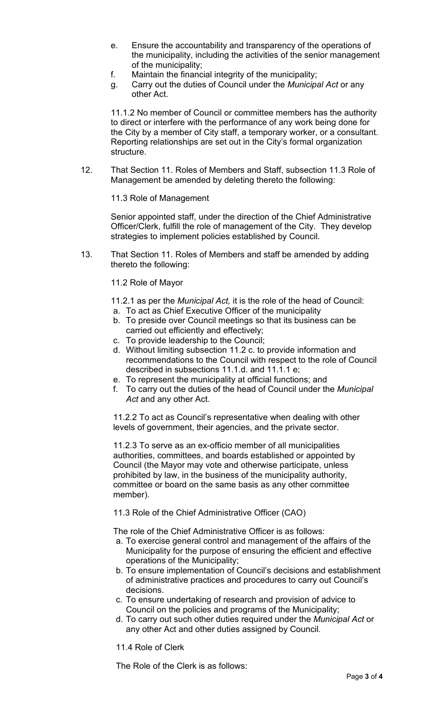- e. Ensure the accountability and transparency of the operations of the municipality, including the activities of the senior management of the municipality;
- f. Maintain the financial integrity of the municipality;
- g. Carry out the duties of Council under the *Municipal Act* or any other Act.

11.1.2 No member of Council or committee members has the authority to direct or interfere with the performance of any work being done for the City by a member of City staff, a temporary worker, or a consultant. Reporting relationships are set out in the City's formal organization structure.

12. That Section 11. Roles of Members and Staff, subsection 11.3 Role of Management be amended by deleting thereto the following:

11.3 Role of Management

Senior appointed staff, under the direction of the Chief Administrative Officer/Clerk, fulfill the role of management of the City. They develop strategies to implement policies established by Council.

13. That Section 11. Roles of Members and staff be amended by adding thereto the following:

### 11.2 Role of Mayor

11.2.1 as per the *Municipal Act,* it is the role of the head of Council:

- a. To act as Chief Executive Officer of the municipality
- b. To preside over Council meetings so that its business can be carried out efficiently and effectively;
- c. To provide leadership to the Council;
- d. Without limiting subsection 11.2 c. to provide information and recommendations to the Council with respect to the role of Council described in subsections 11.1.d. and 11.1.1 e;
- e. To represent the municipality at official functions; and
- f. To carry out the duties of the head of Council under the *Municipal Act* and any other Act.

11.2.2 To act as Council's representative when dealing with other levels of government, their agencies, and the private sector.

11.2.3 To serve as an ex-officio member of all municipalities authorities, committees, and boards established or appointed by Council (the Mayor may vote and otherwise participate, unless prohibited by law, in the business of the municipality authority, committee or board on the same basis as any other committee member).

11.3 Role of the Chief Administrative Officer (CAO)

The role of the Chief Administrative Officer is as follows:

- a. To exercise general control and management of the affairs of the Municipality for the purpose of ensuring the efficient and effective operations of the Municipality;
- b. To ensure implementation of Council's decisions and establishment of administrative practices and procedures to carry out Council's decisions.
- c. To ensure undertaking of research and provision of advice to Council on the policies and programs of the Municipality;
- d. To carry out such other duties required under the *Municipal Act* or any other Act and other duties assigned by Council.

11.4 Role of Clerk

The Role of the Clerk is as follows: